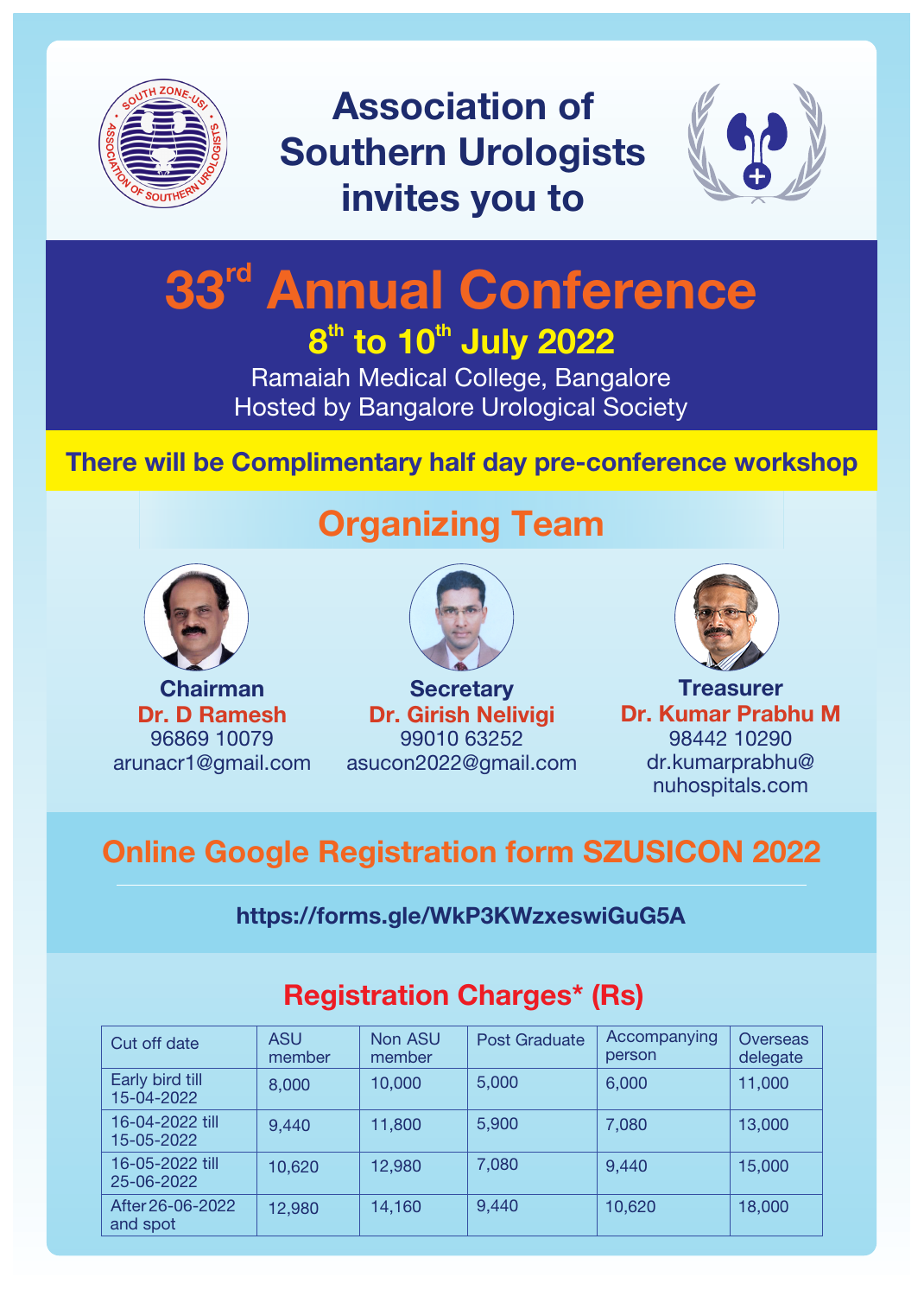

Association of Southern Urologists invites you to



# 33<sup>rd</sup> Annual Conference  $8<sup>th</sup>$  to 10<sup>th</sup> July 2022

Ramaiah Medical College, Bangalore Hosted by Bangalore Urological Society

#### There will be Complimentary half day pre-conference workshop



Chairman Dr. D Ramesh 96869 10079 arunacr1@gmail.com

# Organizing Team



**Secretary** Dr. Girish Nelivigi 99010 63252 asucon2022@gmail.com



**Treasurer** Dr. Kumar Prabhu M 98442 10290 dr.kumarprabhu@ nuhospitals.com

## Online Google Registration form SZUSICON 2022

#### <https://forms.gle/WkP3KWzxeswiGuG5A>

| Cut off date                  | <b>ASU</b><br>member | <b>Non ASU</b><br>member | <b>Post Graduate</b> | Accompanying<br>person | Overseas<br>delegate |
|-------------------------------|----------------------|--------------------------|----------------------|------------------------|----------------------|
| Early bird till<br>15-04-2022 | 8,000                | 10,000                   | 5,000                | 6,000                  | 11,000               |
| 16-04-2022 till<br>15-05-2022 | 9,440                | 11,800                   | 5,900                | 7,080                  | 13,000               |
| 16-05-2022 till<br>25-06-2022 | 10,620               | 12,980                   | 7,080                | 9,440                  | 15,000               |
| After 26-06-2022<br>and spot  | 12,980               | 14,160                   | 9,440                | 10,620                 | 18,000               |

### Registration Charges\* (Rs)